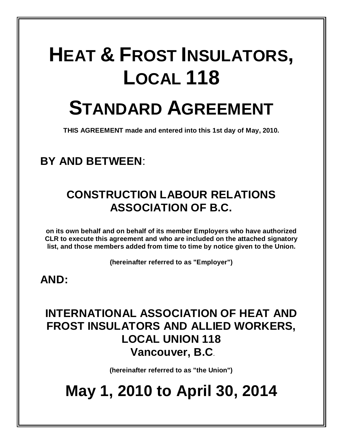# **HEAT & FROST INSULATORS, LOCAL 118 STANDARD AGREEMENT**

**THIS AGREEMENT made and entered into this 1st day of May, 2010.**

# **BY AND BETWEEN**:

# **CONSTRUCTION LABOUR RELATIONS ASSOCIATION OF B.C.**

**on its own behalf and on behalf of its member Employers who have authorized CLR to execute this agreement and who are included on the attached signatory list, and those members added from time to time by notice given to the Union.** 

**(hereinafter referred to as "Employer")**

# **AND:**

# **INTERNATIONAL ASSOCIATION OF HEAT AND FROST INSULATORS AND ALLIED WORKERS, LOCAL UNION 118 Vancouver, B.C**.

**(hereinafter referred to as "the Union")**

# **May 1, 2010 to April 30, 2014**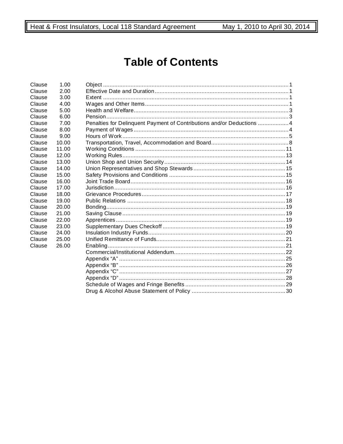# **Table of Contents**

| Clause | 1.00  |                                                                       |  |
|--------|-------|-----------------------------------------------------------------------|--|
| Clause | 2.00  |                                                                       |  |
| Clause | 3.00  |                                                                       |  |
| Clause | 4.00  |                                                                       |  |
| Clause | 5.00  |                                                                       |  |
| Clause | 6.00  |                                                                       |  |
| Clause | 7.00  | Penalties for Delinquent Payment of Contributions and/or Deductions 4 |  |
| Clause | 8.00  |                                                                       |  |
| Clause | 9.00  |                                                                       |  |
| Clause | 10.00 |                                                                       |  |
| Clause | 11.00 |                                                                       |  |
| Clause | 12.00 |                                                                       |  |
| Clause | 13.00 |                                                                       |  |
| Clause | 14.00 |                                                                       |  |
| Clause | 15.00 |                                                                       |  |
| Clause | 16.00 |                                                                       |  |
| Clause | 17.00 |                                                                       |  |
| Clause | 18.00 |                                                                       |  |
| Clause | 19.00 |                                                                       |  |
| Clause | 20.00 |                                                                       |  |
| Clause | 21.00 |                                                                       |  |
| Clause | 22.00 |                                                                       |  |
| Clause | 23.00 |                                                                       |  |
| Clause | 24.00 |                                                                       |  |
| Clause | 25.00 |                                                                       |  |
| Clause | 26.00 |                                                                       |  |
|        |       |                                                                       |  |
|        |       |                                                                       |  |
|        |       |                                                                       |  |
|        |       |                                                                       |  |
|        |       |                                                                       |  |
|        |       |                                                                       |  |
|        |       |                                                                       |  |
|        |       |                                                                       |  |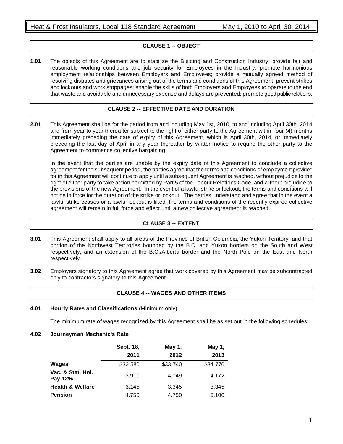# **CLAUSE 1 -- OBJECT**

**1.01** The objects of this Agreement are to stabilize the Building and Construction Industry; provide fair and reasonable working conditions and job security for Employees in the Industry; promote harmonious employment relationships between Employers and Employees; provide a mutually agreed method of resolving disputes and grievances arising out of the terms and conditions of this Agreement; prevent strikes and lockouts and work stoppages; enable the skills of both Employers and Employees to operate to the end that waste and avoidable and unnecessary expense and delays are prevented; promote good public relations.

# **CLAUSE 2 -- EFFECTIVE DATE AND DURATION**

**2.01** This Agreement shall be for the period from and including May 1st, 2010, to and including April 30th, 2014 and from year to year thereafter subject to the right of either party to the Agreement within four (4) months immediately preceding the date of expiry of this Agreement, which is April 30th, 2014, or immediately preceding the last day of April in any year thereafter by written notice to require the other party to the Agreement to commence collective bargaining.

In the event that the parties are unable by the expiry date of this Agreement to conclude a collective agreement for the subsequent period, the parties agree that the terms and conditions of employment provided for in this Agreement will continue to apply until a subsequent Agreement is reached, without prejudice to the right of either party to take action permitted by Part 5 of the Labour Relations Code, and without prejudice to the provisions of the new Agreement. In the event of a lawful strike or lockout, the terms and conditions will not be in force for the duration of the strike or lockout. The parties understand and agree that in the event a lawful strike ceases or a lawful lockout is lifted, the terms and conditions of the recently expired collective agreement will remain in full force and effect until a new collective agreement is reached.

# **CLAUSE 3 -- EXTENT**

- **3.01** This Agreement shall apply to all areas of the Province of British Columbia, the Yukon Territory, and that portion of the Northwest Territories bounded by the B.C. and Yukon borders on the South and West respectively, and an extension of the B.C./Alberta border and the North Pole on the East and North respectively.
- **3.02** Employers signatory to this Agreement agree that work covered by this Agreement may be subcontracted only to contractors signatory to this Agreement.

# **CLAUSE 4 -- WAGES AND OTHER ITEMS**

**4.01 Hourly Rates and Classifications** (Minimum only)

The minimum rate of wages recognized by this Agreement shall be as set out in the following schedules:

# **4.02 Journeyman Mechanic's Rate**

|                              | Sept. 18,<br>2011 | May 1,<br>2012 | May 1,<br>2013 |
|------------------------------|-------------------|----------------|----------------|
| <b>Wages</b>                 | \$32,580          | \$33.740       | \$34.770       |
| Vac. & Stat. Hol.<br>Pay 12% | 3.910             | 4.049          | 4.172          |
| <b>Health &amp; Welfare</b>  | 3.145             | 3.345          | 3.345          |
| <b>Pension</b>               | 4.750             | 4.750          | 5.100          |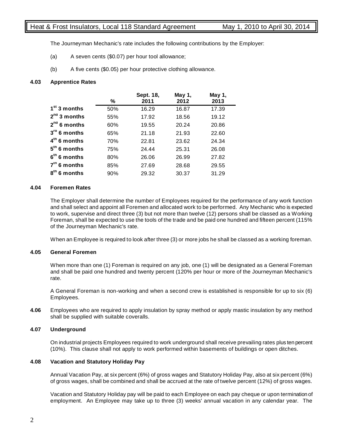# Heat & Frost Insulators, Local 118 Standard Agreement May 1, 2010 to April 30, 2014

The Journeyman Mechanic's rate includes the following contributions by the Employer:

- (a) A seven cents (\$0.07) per hour tool allowance;
- (b) A five cents (\$0.05) per hour protective clothing allowance.

# **4.03 Apprentice Rates**

|                   | ℅   | Sept. 18,<br>2011 | May 1,<br>2012 | May 1,<br>2013 |
|-------------------|-----|-------------------|----------------|----------------|
| $1st$ 3 months    | 50% | 16.29             | 16.87          | 17.39          |
| $2^{nd}$ 3 months | 55% | 17.92             | 18.56          | 19.12          |
| $2^{nd}$ 6 months | 60% | 19.55             | 20.24          | 20.86          |
| $3rd$ 6 months    | 65% | 21.18             | 21.93          | 22.60          |
| $4th$ 6 months    | 70% | 22.81             | 23.62          | 24.34          |
| $5th$ 6 months    | 75% | 24.44             | 25.31          | 26.08          |
| $6th$ 6 months    | 80% | 26.06             | 26.99          | 27.82          |
| $7th$ 6 months    | 85% | 27.69             | 28.68          | 29.55          |
| 8th 6 months      | 90% | 29.32             | 30.37          | 31.29          |

# **4.04 Foremen Rates**

The Employer shall determine the number of Employees required for the performance of any work function and shall select and appoint all Foremen and allocated work to be performed. Any Mechanic who is expected to work, supervise and direct three (3) but not more than twelve (12) persons shall be classed as a Working Foreman, shall be expected to use the tools of the trade and be paid one hundred and fifteen percent (115% of the Journeyman Mechanic's rate.

When an Employee is required to look after three (3) or more jobs he shall be classed as a working foreman.

# **4.05 General Foremen**

When more than one (1) Foreman is required on any job, one (1) will be designated as a General Foreman and shall be paid one hundred and twenty percent (120% per hour or more of the Journeyman Mechanic's rate.

A General Foreman is non-working and when a second crew is established is responsible for up to six (6) Employees.

**4.06** Employees who are required to apply insulation by spray method or apply mastic insulation by any method shall be supplied with suitable coveralls.

# **4.07 Underground**

On industrial projects Employees required to work underground shall receive prevailing rates plus ten percent (10%). This clause shall not apply to work performed within basements of buildings or open ditches.

# **4.08 Vacation and Statutory Holiday Pay**

Annual Vacation Pay, at six percent (6%) of gross wages and Statutory Holiday Pay, also at six percent (6%) of gross wages, shall be combined and shall be accrued at the rate of twelve percent (12%) of gross wages.

Vacation and Statutory Holiday pay will be paid to each Employee on each pay cheque or upon termination of employment. An Employee may take up to three (3) weeks' annual vacation in any calendar year. The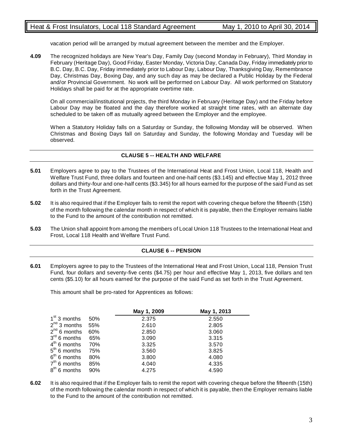vacation period will be arranged by mutual agreement between the member and the Employer.

**4.09** The recognized holidays are New Year's Day, Family Day (second Monday in February), Third Monday in February (Heritage Day), Good Friday, Easter Monday, Victoria Day, Canada Day, Friday immediately prior to B.C. Day, B.C. Day, Friday immediately prior to Labour Day, Labour Day, Thanksgiving Day, Remembrance Day, Christmas Day, Boxing Day, and any such day as may be declared a Public Holiday by the Federal and/or Provincial Government. No work will be performed on Labour Day. All work performed on Statutory Holidays shall be paid for at the appropriate overtime rate.

On all commercial/institutional projects, the third Monday in February (Heritage Day) and the Friday before Labour Day may be floated and the day therefore worked at straight time rates, with an alternate day scheduled to be taken off as mutually agreed between the Employer and the employee.

When a Statutory Holiday falls on a Saturday or Sunday, the following Monday will be observed. When Christmas and Boxing Days fall on Saturday and Sunday, the following Monday and Tuesday will be observed.

# **CLAUSE 5 -- HEALTH AND WELFARE**

- **5.01** Employers agree to pay to the Trustees of the International Heat and Frost Union, Local 118, Health and Welfare Trust Fund, three dollars and fourteen and one-half cents (\$3.145) and effective May 1, 2012 three dollars and thirty-four and one-half cents (\$3.345) for all hours earned for the purpose of the said Fund as set forth in the Trust Agreement.
- **5.02** It is also required that if the Employer fails to remit the report with covering cheque before the fifteenth (15th) of the month following the calendar month in respect of which it is payable, then the Employer remains liable to the Fund to the amount of the contribution not remitted.
- **5.03** The Union shall appoint from among the members of Local Union 118 Trustees to the International Heat and Frost, Local 118 Health and Welfare Trust Fund.

# **CLAUSE 6 -- PENSION**

**6.01** Employers agree to pay to the Trustees of the International Heat and Frost Union, Local 118, Pension Trust Fund, four dollars and seventy-five cents (\$4.75) per hour and effective May 1, 2013, five dollars and ten cents (\$5.10) for all hours earned for the purpose of the said Fund as set forth in the Trust Agreement.

This amount shall be pro-rated for Apprentices as follows:

|                   |     | May 1, 2009 | May 1, 2013 |
|-------------------|-----|-------------|-------------|
| $1st$ 3 months    | 50% | 2.375       | 2.550       |
| $2^{nd}$ 3 months | 55% | 2.610       | 2.805       |
| $2^{nd}$ 6 months | 60% | 2.850       | 3.060       |
| $3rd$ 6 months    | 65% | 3.090       | 3.315       |
| $4th$ 6 months    | 70% | 3.325       | 3.570       |
| $5th$ 6 months    | 75% | 3.560       | 3.825       |
| $6th$ 6 months    | 80% | 3.800       | 4.080       |
| $7th$ 6 months    | 85% | 4.040       | 4.335       |
| $8th$ 6 months    | 90% | 4.275       | 4.590       |

**6.02** It is also required that if the Employer fails to remit the report with covering cheque before the fifteenth (15th) of the month following the calendar month in respect of which it is payable, then the Employer remains liable to the Fund to the amount of the contribution not remitted.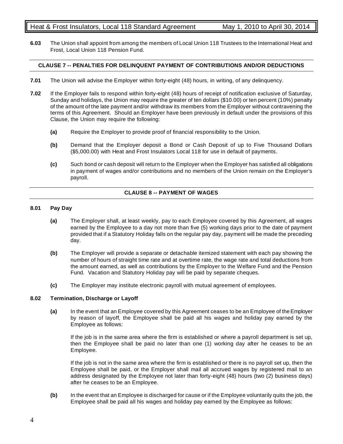**6.03** The Union shall appoint from among the members of Local Union 118 Trustees to the International Heat and Frost, Local Union 118 Pension Fund.

# **CLAUSE 7 -- PENALTIES FOR DELINQUENT PAYMENT OF CONTRIBUTIONS AND/OR DEDUCTIONS**

- **7.01** The Union will advise the Employer within forty-eight (48) hours, in writing, of any delinquency.
- **7.02** If the Employer fails to respond within forty-eight (48) hours of receipt of notification exclusive of Saturday, Sunday and holidays, the Union may require the greater of ten dollars (\$10.00) or ten percent (10%) penalty of the amount of the late payment and/or withdraw its members from the Employer without contravening the terms of this Agreement. Should an Employer have been previously in default under the provisions of this Clause, the Union may require the following:
	- **(a)** Require the Employer to provide proof of financial responsibility to the Union.
	- **(b)** Demand that the Employer deposit a Bond or Cash Deposit of up to Five Thousand Dollars (\$5,000.00) with Heat and Frost Insulators Local 118 for use in default of payments.
	- **(c)** Such bond or cash deposit will return to the Employer when the Employer has satisfied all obligations in payment of wages and/or contributions and no members of the Union remain on the Employer's payroll.

# **CLAUSE 8 -- PAYMENT OF WAGES**

# **8.01 Pay Day**

- **(a)** The Employer shall, at least weekly, pay to each Employee covered by this Agreement, all wages earned by the Employee to a day not more than five (5) working days prior to the date of payment provided that if a Statutory Holiday falls on the regular pay day, payment will be made the preceding day.
- **(b)** The Employer will provide a separate or detachable itemized statement with each pay showing the number of hours of straight time rate and at overtime rate, the wage rate and total deductions from the amount earned, as well as contributions by the Employer to the Welfare Fund and the Pension Fund. Vacation and Statutory Holiday pay will be paid by separate cheques.
- **(c)** The Employer may institute electronic payroll with mutual agreement of employees.

# **8.02 Termination, Discharge or Layoff**

**(a)** In the event that an Employee covered by this Agreement ceases to be an Employee of the Employer by reason of layoff, the Employee shall be paid all his wages and holiday pay earned by the Employee as follows:

If the job is in the same area where the firm is established or where a payroll department is set up, then the Employee shall be paid no later than one (1) working day after he ceases to be an Employee.

If the job is not in the same area where the firm is established or there is no payroll set up, then the Employee shall be paid, or the Employer shall mail all accrued wages by registered mail to an address designated by the Employee not later than forty-eight (48) hours (two (2) business days) after he ceases to be an Employee.

**(b)** In the event that an Employee is discharged for cause or if the Employee voluntarily quits the job, the Employee shall be paid all his wages and holiday pay earned by the Employee as follows: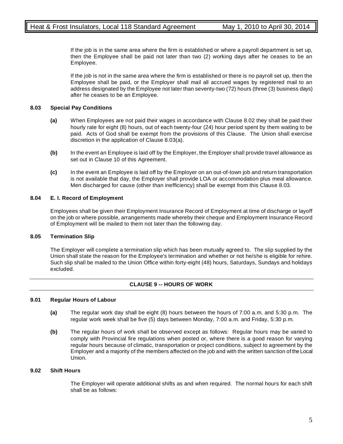If the job is in the same area where the firm is established or where a payroll department is set up, then the Employee shall be paid not later than two (2) working days after he ceases to be an Employee.

If the job is not in the same area where the firm is established or there is no payroll set up, then the Employee shall be paid, or the Employer shall mail all accrued wages by registered mail to an address designated by the Employee not later than seventy-two (72) hours (three (3) business days) after he ceases to be an Employee.

# **8.03 Special Pay Conditions**

- **(a)** When Employees are not paid their wages in accordance with Clause 8.02 they shall be paid their hourly rate for eight (8) hours, out of each twenty-four (24) hour period spent by them waiting to be paid. Acts of God shall be exempt from the provisions of this Clause. The Union shall exercise discretion in the application of Clause 8.03(a).
- **(b)** In the event an Employee is laid off by the Employer, the Employer shall provide travel allowance as set out in Clause 10 of this Agreement.
- **(c)** In the event an Employee is laid off by the Employer on an out-of-town job and return transportation is not available that day, the Employer shall provide LOA or accommodation plus meal allowance. Men discharged for cause (other than inefficiency) shall be exempt from this Clause 8.03.

# **8.04 E. I. Record of Employment**

Employees shall be given their Employment Insurance Record of Employment at time of discharge or layoff on the job or where possible, arrangements made whereby their cheque and Employment Insurance Record of Employment will be mailed to them not later than the following day.

# **8.05 Termination Slip**

The Employer will complete a termination slip which has been mutually agreed to. The slip supplied by the Union shall state the reason for the Employee's termination and whether or not he/she is eligible for rehire. Such slip shall be mailed to the Union Office within forty-eight (48) hours, Saturdays, Sundays and holidays excluded.

# **CLAUSE 9 -- HOURS OF WORK**

# **9.01 Regular Hours of Labour**

- **(a)** The regular work day shall be eight (8) hours between the hours of 7:00 a.m. and 5:30 p.m. The regular work week shall be five (5) days between Monday, 7:00 a.m. and Friday, 5:30 p.m.
- **(b)** The regular hours of work shall be observed except as follows: Regular hours may be varied to comply with Provincial fire regulations when posted or, where there is a good reason for varying regular hours because of climatic, transportation or project conditions, subject to agreement by the Employer and a majority of the members affected on the job and with the written sanction of the Local Union.

# **9.02 Shift Hours**

The Employer will operate additional shifts as and when required. The normal hours for each shift shall be as follows: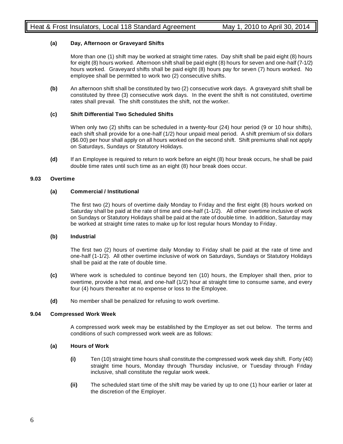# **(a) Day, Afternoon or Graveyard Shifts**

More than one (1) shift may be worked at straight time rates. Day shift shall be paid eight (8) hours for eight (8) hours worked. Afternoon shift shall be paid eight (8) hours for seven and one-half (7-1/2) hours worked. Graveyard shifts shall be paid eight (8) hours pay for seven (7) hours worked. No employee shall be permitted to work two (2) consecutive shifts.

**(b)** An afternoon shift shall be constituted by two (2) consecutive work days. A graveyard shift shall be constituted by three (3) consecutive work days. In the event the shift is not constituted, overtime rates shall prevail. The shift constitutes the shift, not the worker.

# **(c) Shift Differential Two Scheduled Shifts**

When only two (2) shifts can be scheduled in a twenty-four (24) hour period (9 or 10 hour shifts), each shift shall provide for a one-half (1/2) hour unpaid meal period. A shift premium of six dollars (\$6.00) per hour shall apply on all hours worked on the second shift. Shift premiums shall not apply on Saturdays, Sundays or Statutory Holidays.

**(d)** If an Employee is required to return to work before an eight (8) hour break occurs, he shall be paid double time rates until such time as an eight (8) hour break does occur.

# **9.03 Overtime**

# **(a) Commercial / Institutional**

The first two (2) hours of overtime daily Monday to Friday and the first eight (8) hours worked on Saturday shall be paid at the rate of time and one-half (1-1/2). All other overtime inclusive of work on Sundays or Statutory Holidays shall be paid at the rate of double time. In addition, Saturday may be worked at straight time rates to make up for lost regular hours Monday to Friday.

# **(b) Industrial**

The first two (2) hours of overtime daily Monday to Friday shall be paid at the rate of time and one-half (1-1/2). All other overtime inclusive of work on Saturdays, Sundays or Statutory Holidays shall be paid at the rate of double time.

- **(c)** Where work is scheduled to continue beyond ten (10) hours, the Employer shall then, prior to overtime, provide a hot meal, and one-half (1/2) hour at straight time to consume same, and every four (4) hours thereafter at no expense or loss to the Employee.
- **(d)** No member shall be penalized for refusing to work overtime.

# **9.04 Compressed Work Week**

A compressed work week may be established by the Employer as set out below. The terms and conditions of such compressed work week are as follows:

# **(a) Hours of Work**

- **(i)** Ten (10) straight time hours shall constitute the compressed work week day shift. Forty (40) straight time hours, Monday through Thursday inclusive, or Tuesday through Friday inclusive, shall constitute the regular work week.
- **(ii)** The scheduled start time of the shift may be varied by up to one (1) hour earlier or later at the discretion of the Employer.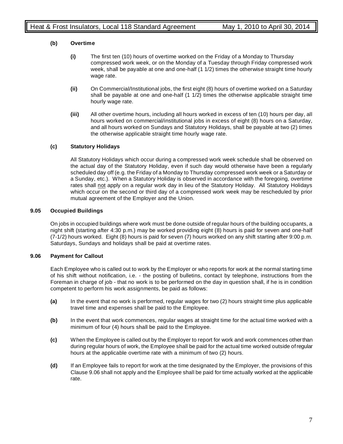# **(b) Overtime**

- **(i)** The first ten (10) hours of overtime worked on the Friday of a Monday to Thursday compressed work week, or on the Monday of a Tuesday through Friday compressed work week, shall be payable at one and one-half (1 1/2) times the otherwise straight time hourly wage rate.
- **(ii)** On Commercial/Institutional jobs, the first eight (8) hours of overtime worked on a Saturday shall be payable at one and one-half (1 1/2) times the otherwise applicable straight time hourly wage rate.
- **(iii)** All other overtime hours, including all hours worked in excess of ten (10) hours per day, all hours worked on commercial/institutional jobs in excess of eight (8) hours on a Saturday, and all hours worked on Sundays and Statutory Holidays, shall be payable at two (2) times the otherwise applicable straight time hourly wage rate.

# **(c) Statutory Holidays**

All Statutory Holidays which occur during a compressed work week schedule shall be observed on the actual day of the Statutory Holiday, even if such day would otherwise have been a regularly scheduled day off (e.g. the Friday of a Monday to Thursday compressed work week or a Saturday or a Sunday, etc.). When a Statutory Holiday is observed in accordance with the foregoing, overtime rates shall not apply on a regular work day in lieu of the Statutory Holiday. All Statutory Holidays which occur on the second or third day of a compressed work week may be rescheduled by prior mutual agreement of the Employer and the Union.

# **9.05 Occupied Buildings**

On jobs in occupied buildings where work must be done outside of regular hours of the building occupants, a night shift (starting after 4:30 p.m.) may be worked providing eight (8) hours is paid for seven and one-half (7-1/2) hours worked. Eight (8) hours is paid for seven (7) hours worked on any shift starting after 9:00 p.m. Saturdays, Sundays and holidays shall be paid at overtime rates.

# **9.06 Payment for Callout**

Each Employee who is called out to work by the Employer or who reports for work at the normal starting time of his shift without notification, i.e. - the posting of bulletins, contact by telephone, instructions from the Foreman in charge of job - that no work is to be performed on the day in question shall, if he is in condition competent to perform his work assignments, be paid as follows:

- **(a)** In the event that no work is performed, regular wages for two (2) hours straight time plus applicable travel time and expenses shall be paid to the Employee.
- **(b)** In the event that work commences, regular wages at straight time for the actual time worked with a minimum of four (4) hours shall be paid to the Employee.
- **(c)** When the Employee is called out by the Employer to report for work and work commences other than during regular hours of work, the Employee shall be paid for the actual time worked outside of regular hours at the applicable overtime rate with a minimum of two (2) hours.
- **(d)** If an Employee fails to report for work at the time designated by the Employer, the provisions of this Clause 9.06 shall not apply and the Employee shall be paid for time actually worked at the applicable rate.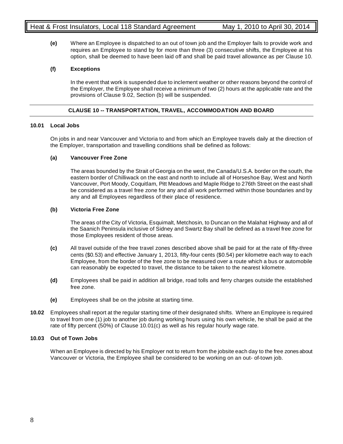**(e)** Where an Employee is dispatched to an out of town job and the Employer fails to provide work and requires an Employee to stand by for more than three (3) consecutive shifts, the Employee at his option, shall be deemed to have been laid off and shall be paid travel allowance as per Clause 10.

# **(f) Exceptions**

In the event that work is suspended due to inclement weather or other reasons beyond the control of the Employer, the Employee shall receive a minimum of two (2) hours at the applicable rate and the provisions of Clause 9.02, Section (b) will be suspended.

# **CLAUSE 10 -- TRANSPORTATION, TRAVEL, ACCOMMODATION AND BOARD**

# **10.01 Local Jobs**

On jobs in and near Vancouver and Victoria to and from which an Employee travels daily at the direction of the Employer, transportation and travelling conditions shall be defined as follows:

# **(a) Vancouver Free Zone**

The areas bounded by the Strait of Georgia on the west, the Canada/U.S.A. border on the south, the eastern border of Chilliwack on the east and north to include all of Horseshoe Bay, West and North Vancouver, Port Moody, Coquitlam, Pitt Meadows and Maple Ridge to 276th Street on the east shall be considered as a travel free zone for any and all work performed within those boundaries and by any and all Employees regardless of their place of residence.

# **(b) Victoria Free Zone**

The areas of the City of Victoria, Esquimalt, Metchosin, to Duncan on the Malahat Highway and all of the Saanich Peninsula inclusive of Sidney and Swartz Bay shall be defined as a travel free zone for those Employees resident of those areas.

- **(c)** All travel outside of the free travel zones described above shall be paid for at the rate of fifty-three cents (\$0.53) and effective January 1, 2013, fifty-four cents (\$0.54) per kilometre each way to each Employee, from the border of the free zone to be measured over a route which a bus or automobile can reasonably be expected to travel, the distance to be taken to the nearest kilometre.
- **(d)** Employees shall be paid in addition all bridge, road tolls and ferry charges outside the established free zone.
- **(e)** Employees shall be on the jobsite at starting time.
- **10.02** Employees shall report at the regular starting time of their designated shifts. Where an Employee is required to travel from one (1) job to another job during working hours using his own vehicle, he shall be paid at the rate of fifty percent (50%) of Clause 10.01(c) as well as his regular hourly wage rate.

# **10.03 Out of Town Jobs**

When an Employee is directed by his Employer not to return from the jobsite each day to the free zones about Vancouver or Victoria, the Employee shall be considered to be working on an out- of-town job.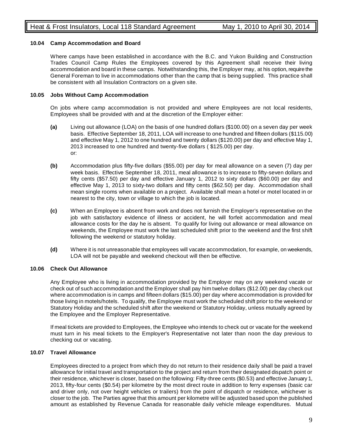# **10.04 Camp Accommodation and Board**

Where camps have been established in accordance with the B.C. and Yukon Building and Construction Trades Council Camp Rules the Employees covered by this Agreement shall receive their living accommodation and board in these camps. Notwithstanding this, the Employer may, at his option, require the General Foreman to live in accommodations other than the camp that is being supplied. This practice shall be consistent with all Insulation Contractors on a given site.

# **10.05 Jobs Without Camp Accommodation**

On jobs where camp accommodation is not provided and where Employees are not local residents, Employees shall be provided with and at the discretion of the Employer either:

- **(a)** Living out allowance (LOA) on the basis of one hundred dollars (\$100.00) on a seven day per week basis. Effective September 18, 2011, LOA will increase to one hundred and fifteen dollars (\$115.00) and effective May 1, 2012 to one hundred and twenty dollars (\$120.00) per day and effective May 1, 2013 increased to one hundred and twenty-five dollars ( \$125.00) per day. or:
- **(b)** Accommodation plus fifty-five dollars (\$55.00) per day for meal allowance on a seven (7) day per week basis. Effective September 18, 2011, meal allowance is to increase to fifty-seven dollars and fifty cents (\$57.50) per day and effective January 1, 2012 to sixty dollars (\$60.00) per day and effective May 1, 2013 to sixty-two dollars and fifty cents (\$62.50) per day. Accommodation shall mean single rooms when available on a project. Available shall mean a hotel or motel located in or nearest to the city, town or village to which the job is located.
- **(c)** When an Employee is absent from work and does not furnish the Employer's representative on the job with satisfactory evidence of illness or accident, he will forfeit accommodation and meal allowance costs for the day he is absent. To qualify for living out allowance or meal allowance on weekends, the Employee must work the last scheduled shift prior to the weekend and the first shift following the weekend or statutory holiday.
- **(d)** Where it is not unreasonable that employees will vacate accommodation, for example, on weekends, LOA will not be payable and weekend checkout will then be effective.

# **10.06 Check Out Allowance**

Any Employee who is living in accommodation provided by the Employer may on any weekend vacate or check out of such accommodation and the Employer shall pay him twelve dollars (\$12.00) per day check out where accommodation is in camps and fifteen dollars (\$15.00) per day where accommodation is provided for those living in motels/hotels. To qualify, the Employee must work the scheduled shift prior to the weekend or Statutory Holiday and the scheduled shift after the weekend or Statutory Holiday, unless mutually agreed by the Employee and the Employer Representative.

If meal tickets are provided to Employees, the Employee who intends to check out or vacate for the weekend must turn in his meal tickets to the Employer's Representative not later than noon the day previous to checking out or vacating.

# **10.07 Travel Allowance**

Employees directed to a project from which they do not return to their residence daily shall be paid a travel allowance for initial travel and transportation to the project and return from their designated dispatch point or their residence, whichever is closer, based on the following: Fifty-three cents (\$0.53) and effective January 1, 2013, fifty-four cents (\$0.54) per kilometre by the most direct route in addition to ferry expenses (basic car and driver only, not over height vehicles or trailers) from the point of dispatch or residence, whichever is closer to the job. The Parties agree that this amount per kilometre will be adjusted based upon the published amount as established by Revenue Canada for reasonable daily vehicle mileage expenditures. Mutual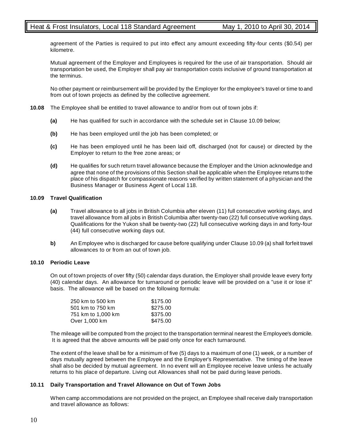agreement of the Parties is required to put into effect any amount exceeding fifty-four cents (\$0.54) per kilometre.

Mutual agreement of the Employer and Employees is required for the use of air transportation. Should air transportation be used, the Employer shall pay air transportation costs inclusive of ground transportation at the terminus.

No other payment or reimbursement will be provided by the Employer for the employee's travel or time to and from out of town projects as defined by the collective agreement.

- **10.08** The Employee shall be entitled to travel allowance to and/or from out of town jobs if:
	- **(a)** He has qualified for such in accordance with the schedule set in Clause 10.09 below;
	- **(b)** He has been employed until the job has been completed; or
	- **(c)** He has been employed until he has been laid off, discharged (not for cause) or directed by the Employer to return to the free zone areas; or
	- **(d)** He qualifies for such return travel allowance because the Employer and the Union acknowledge and agree that none of the provisions of this Section shall be applicable when the Employee returns to the place of his dispatch for compassionate reasons verified by written statement of a physician and the Business Manager or Business Agent of Local 118.

#### **10.09 Travel Qualification**

- **(a)** Travel allowance to all jobs in British Columbia after eleven (11) full consecutive working days, and travel allowance from all jobs in British Columbia after twenty-two (22) full consecutive working days. Qualifications for the Yukon shall be twenty-two (22) full consecutive working days in and forty-four (44) full consecutive working days out.
- **b)** An Employee who is discharged for cause before qualifying under Clause 10.09 (a) shall forfeit travel allowances to or from an out of town job.

# **10.10 Periodic Leave**

On out of town projects of over fifty (50) calendar days duration, the Employer shall provide leave every forty (40) calendar days. An allowance for turnaround or periodic leave will be provided on a "use it or lose it" basis. The allowance will be based on the following formula:

| 250 km to 500 km   | \$175.00 |
|--------------------|----------|
| 501 km to 750 km   | \$275.00 |
| 751 km to 1,000 km | \$375.00 |
| Over 1,000 km      | \$475.00 |

The mileage will be computed from the project to the transportation terminal nearest the Employee's domicile. It is agreed that the above amounts will be paid only once for each turnaround.

The extent of the leave shall be for a minimum of five (5) days to a maximum of one (1) week, or a number of days mutually agreed between the Employee and the Employer's Representative. The timing of the leave shall also be decided by mutual agreement. In no event will an Employee receive leave unless he actually returns to his place of departure. Living out Allowances shall not be paid during leave periods.

# **10.11 Daily Transportation and Travel Allowance on Out of Town Jobs**

When camp accommodations are not provided on the project, an Employee shall receive daily transportation and travel allowance as follows: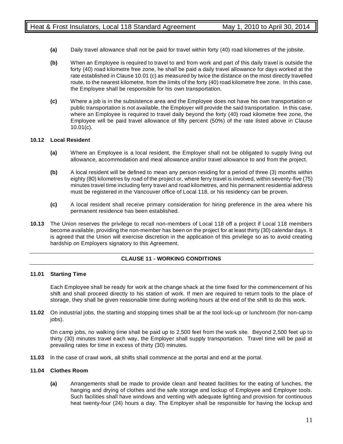- **(a)** Daily travel allowance shall not be paid for travel within forty (40) road kilometres of the jobsite.
- **(b)** When an Employee is required to travel to and from work and part of this daily travel is outside the forty (40) road kilometre free zone, he shall be paid a daily travel allowance for days worked at the rate established in Clause 10.01 (c) as measured by twice the distance on the most directly travelled route, to the nearest kilometre, from the limits of the forty (40) road kilometre free zone. In this case, the Employee shall be responsible for his own transportation.
- **(c)** Where a job is in the subsistence area and the Employee does not have his own transportation or public transportation is not available, the Employer will provide the said transportation. In this case, where an Employee is required to travel daily beyond the forty (40) road kilometre free zone, the Employee will be paid travel allowance of fifty percent (50%) of the rate listed above in Clause 10.01(c).

# **10.12 Local Resident**

- **(a)** Where an Employee is a local resident, the Employer shall not be obligated to supply living out allowance, accommodation and meal allowance and/or travel allowance to and from the project.
- **(b)** A local resident will be defined to mean any person residing for a period of three (3) months within eighty (80) kilometres by road of the project or, where ferry travel is involved, within seventy-five (75) minutes travel time including ferry travel and road kilometres, and his permanent residential address must be registered in the Vancouver office of Local 118, or his residency can be proven.
- **(c)** A local resident shall receive primary consideration for hiring preference in the area where his permanent residence has been established.
- **10.13** The Union reserves the privilege to recall non-members of Local 118 off a project if Local 118 members become available, providing the non-member has been on the project for at least thirty (30) calendar days. It is agreed that the Union will exercise discretion in the application of this privilege so as to avoid creating hardship on Employers signatory to this Agreement.

# **CLAUSE 11 - WORKING CONDITIONS**

# **11.01 Starting Time**

Each Employee shall be ready for work at the change shack at the time fixed for the commencement of his shift and shall proceed directly to his station of work. If men are required to return tools to the place of storage, they shall be given reasonable time during working hours at the end of the shift to do this work.

**11.02** On industrial jobs, the starting and stopping times shall be at the tool lock-up or lunchroom (for non-camp jobs).

On camp jobs, no walking time shall be paid up to 2,500 feet from the work site. Beyond 2,500 feet up to thirty (30) minutes travel each way, the Employer shall supply transportation. Travel time will be paid at prevailing rates for time in excess of thirty (30) minutes.

**11.03** ln the case of crawl work, all shifts shall commence at the portal and end at the portal.

# **11.04 Clothes Room**

**(a)** Arrangements shall be made to provide clean and heated facilities for the eating of lunches, the hanging and drying of clothes and the safe storage and lockup of Employee and Employer tools. Such facilities shall have windows and venting with adequate lighting and provision for continuous heat twenty-four (24) hours a day. The Employer shall be responsible for having the lockup and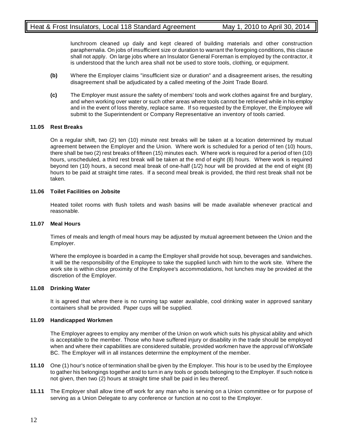lunchroom cleaned up daily and kept cleared of building materials and other construction paraphernalia. On jobs of insufficient size or duration to warrant the foregoing conditions, this clause shall not apply. On large jobs where an Insulator General Foreman is employed by the contractor, it is understood that the lunch area shall not be used to store tools, clothing, or equipment.

- **(b)** Where the Employer claims "insufficient size or duration" and a disagreement arises, the resulting disagreement shall be adjudicated by a called meeting of the Joint Trade Board.
- **(c)** The Employer must assure the safety of members' tools and work clothes against fire and burglary, and when working over water or such other areas where tools cannot be retrieved while in his employ and in the event of loss thereby, replace same. If so requested by the Employer, the Employee will submit to the Superintendent or Company Representative an inventory of tools carried.

# **11.05 Rest Breaks**

On a regular shift, two (2) ten (10) minute rest breaks will be taken at a location determined by mutual agreement between the Employer and the Union. Where work is scheduled for a period of ten (10) hours, there shall be two (2) rest breaks of fifteen (15) minutes each. Where work is required for a period of ten (10) hours, unscheduled, a third rest break will be taken at the end of eight (8) hours. Where work is required beyond ten (10) hours, a second meal break of one-half (1/2) hour will be provided at the end of eight (8) hours to be paid at straight time rates. If a second meal break is provided, the third rest break shall not be taken.

# **11.06 Toilet Facilities on Jobsite**

Heated toilet rooms with flush toilets and wash basins will be made available whenever practical and reasonable.

# **11.07 Meal Hours**

Times of meals and length of meal hours may be adjusted by mutual agreement between the Union and the Employer.

Where the employee is boarded in a camp the Employer shall provide hot soup, beverages and sandwiches. It will be the responsibility of the Employee to take the supplied lunch with him to the work site. Where the work site is within close proximity of the Employee's accommodations, hot lunches may be provided at the discretion of the Employer.

# **11.08 Drinking Water**

It is agreed that where there is no running tap water available, cool drinking water in approved sanitary containers shall be provided. Paper cups will be supplied.

# **11.09 Handicapped Workmen**

The Employer agrees to employ any member of the Union on work which suits his physical ability and which is acceptable to the member. Those who have suffered injury or disability in the trade should be employed when and where their capabilities are considered suitable, provided workmen have the approval of WorkSafe BC. The Employer will in all instances determine the employment of the member.

- **11.10** One (1) hour's notice of termination shall be given by the Employer. This hour is to be used by the Employee to gather his belongings together and to turn in any tools or goods belonging to the Employer. If such notice is not given, then two (2) hours at straight time shall be paid in lieu thereof.
- **11.11** The Employer shall allow time off work for any man who is serving on a Union committee or for purpose of serving as a Union Delegate to any conference or function at no cost to the Employer.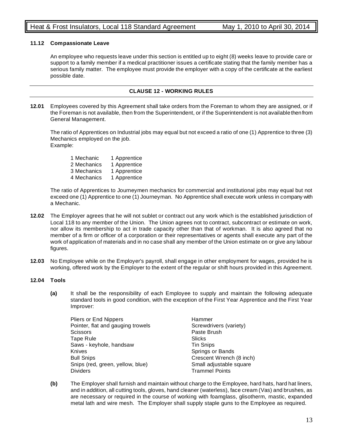# **11.12 Compassionate Leave**

An employee who requests leave under this section is entitled up to eight (8) weeks leave to provide care or support to a family member if a medical practitioner issues a certificate stating that the family member has a serious family matter. The employee must provide the employer with a copy of the certificate at the earliest possible date.

# **CLAUSE 12 - WORKING RULES**

**12.01** Employees covered by this Agreement shall take orders from the Foreman to whom they are assigned, or if the Foreman is not available, then from the Superintendent, or if the Superintendent is not available then from General Management.

The ratio of Apprentices on Industrial jobs may equal but not exceed a ratio of one (1) Apprentice to three (3) Mechanics employed on the job. Example:

1 Mechanic 1 Apprentice 2 Mechanics 1 Apprentice 3 Mechanics 1 Apprentice 4 Mechanics 1 Apprentice

The ratio of Apprentices to Journeymen mechanics for commercial and institutional jobs may equal but not exceed one (1) Apprentice to one (1) Journeyman. No Apprentice shall execute work unless in company with a Mechanic.

- **12.02** The Employer agrees that he will not sublet or contract out any work which is the established jurisdiction of Local 118 to any member of the Union. The Union agrees not to contract, subcontract or estimate on work, nor allow its membership to act in trade capacity other than that of workman. It is also agreed that no member of a firm or officer of a corporation or their representatives or agents shall execute any part of the work of application of materials and in no case shall any member of the Union estimate on or give any labour figures.
- **12.03** No Employee while on the Employer's payroll, shall engage in other employment for wages, provided he is working, offered work by the Employer to the extent of the regular or shift hours provided in this Agreement.

# **12.04 Tools**

**(a)** It shall be the responsibility of each Employee to supply and maintain the following adequate standard tools in good condition, with the exception of the First Year Apprentice and the First Year Improver:

| Pliers or End Nippers             | Hammer                   |
|-----------------------------------|--------------------------|
| Pointer, flat and gauging trowels | Screwdrivers (variety)   |
| <b>Scissors</b>                   | Paste Brush              |
| Tape Rule                         | Slicks                   |
| Saws - keyhole, handsaw           | <b>Tin Snips</b>         |
| Knives                            | Springs or Bands         |
| <b>Bull Snips</b>                 | Crescent Wrench (8 inch) |
| Snips (red, green, yellow, blue)  | Small adjustable square  |
| <b>Dividers</b>                   | <b>Trammel Points</b>    |

**(b)** The Employer shall furnish and maintain without charge to the Employee, hard hats, hard hat liners, and in addition, all cutting tools, gloves, hand cleaner (waterless), face cream (Vas) and brushes, as are necessary or required in the course of working with foamglass, glisotherm, mastic, expanded metal lath and wire mesh. The Employer shall supply staple guns to the Employee as required.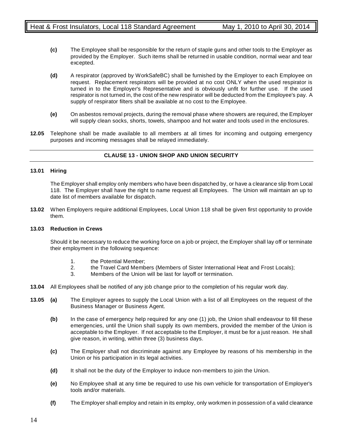- **(c)** The Employee shall be responsible for the return of staple guns and other tools to the Employer as provided by the Employer. Such items shall be returned in usable condition, normal wear and tear excepted.
- **(d)** A respirator (approved by WorkSafeBC) shall be furnished by the Employer to each Employee on request. Replacement respirators will be provided at no cost ONLY when the used respirator is turned in to the Employer's Representative and is obviously unfit for further use. If the used respirator is not turned in, the cost of the new respirator will be deducted from the Employee's pay. A supply of respirator filters shall be available at no cost to the Employee.
- **(e)** On asbestos removal projects, during the removal phase where showers are required, the Employer will supply clean socks, shorts, towels, shampoo and hot water and tools used in the enclosures.
- **12.05** Telephone shall be made available to all members at all times for incoming and outgoing emergency purposes and incoming messages shall be relayed immediately.

# **CLAUSE 13 - UNION SHOP AND UNION SECURITY**

# **13.01 Hiring**

The Employer shall employ only members who have been dispatched by, or have a clearance slip from Local 118. The Employer shall have the right to name request all Employees. The Union will maintain an up to date list of members available for dispatch.

**13.02** When Employers require additional Employees, Local Union 118 shall be given first opportunity to provide them.

# **13.03 Reduction in Crews**

Should it be necessary to reduce the working force on a job or project, the Employer shall lay off or terminate their employment in the following sequence:

- 1. the Potential Member;<br>2. the Travel Card Memb
- 2. the Travel Card Members (Members of Sister International Heat and Frost Locals);
- 3. Members of the Union will be last for layoff or termination.
- **13.04** All Employees shall be notified of any job change prior to the completion of his regular work day.
- **13.05 (a)** The Employer agrees to supply the Local Union with a list of all Employees on the request of the Business Manager or Business Agent.
	- **(b)** In the case of emergency help required for any one (1) job, the Union shall endeavour to fill these emergencies, until the Union shall supply its own members, provided the member of the Union is acceptable to the Employer. If not acceptable to the Employer, it must be for a just reason. He shall give reason, in writing, within three (3) business days.
	- **(c)** The Employer shall not discriminate against any Employee by reasons of his membership in the Union or his participation in its legal activities.
	- **(d)** It shall not be the duty of the Employer to induce non-members to join the Union.
	- **(e)** No Employee shall at any time be required to use his own vehicle for transportation of Employer's tools and/or materials.
	- **(f)** The Employer shall employ and retain in its employ, only workmen in possession of a valid clearance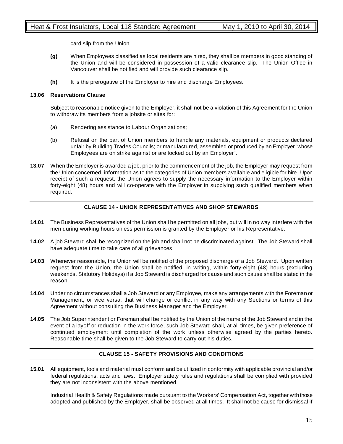card slip from the Union.

- **(g)** When Employees classified as local residents are hired, they shall be members in good standing of the Union and will be considered in possession of a valid clearance slip. The Union Office in Vancouver shall be notified and will provide such clearance slip.
- **(h)** It is the prerogative of the Employer to hire and discharge Employees.

# **13.06 Reservations Clause**

Subject to reasonable notice given to the Employer, it shall not be a violation of this Agreement for the Union to withdraw its members from a jobsite or sites for:

- (a) Rendering assistance to Labour Organizations;
- (b) Refusal on the part of Union members to handle any materials, equipment or products declared unfair by Building Trades Councils; or manufactured, assembled or produced by an Employer "whose Employees are on strike against or are locked out by an Employer".
- **13.07** When the Employer is awarded a job, prior to the commencement of the job, the Employer may request from the Union concerned, information as to the categories of Union members available and eligible for hire. Upon receipt of such a request, the Union agrees to supply the necessary information to the Employer within forty-eight (48) hours and will co-operate with the Employer in supplying such qualified members when required.

# **CLAUSE 14 - UNION REPRESENTATIVES AND SHOP STEWARDS**

- **14.01** The Business Representatives of the Union shall be permitted on all jobs, but will in no way interfere with the men during working hours unless permission is granted by the Employer or his Representative.
- **14.02** A job Steward shall be recognized on the job and shall not be discriminated against. The Job Steward shall have adequate time to take care of all grievances.
- **14.03** Whenever reasonable, the Union will be notified of the proposed discharge of a Job Steward. Upon written request from the Union, the Union shall be notified, in writing, within forty-eight (48) hours (excluding weekends, Statutory Holidays) if a Job Steward is discharged for cause and such cause shall be stated in the reason.
- **14.04** Under no circumstances shall a Job Steward or any Employee, make any arrangements with the Foreman or Management, or vice versa, that will change or conflict in any way with any Sections or terms of this Agreement without consulting the Business Manager and the Employer.
- **14.05** The Job Superintendent or Foreman shall be notified by the Union of the name of the Job Steward and in the event of a layoff or reduction in the work force, such Job Steward shall, at all times, be given preference of continued employment until completion of the work unless otherwise agreed by the parties hereto. Reasonable time shall be given to the Job Steward to carry out his duties.

# **CLAUSE 15 - SAFETY PROVISIONS AND CONDITIONS**

**15.01** All equipment, tools and material must conform and be utilized in conformity with applicable provincial and/or federal regulations, acts and laws. Employer safety rules and regulations shall be complied with provided they are not inconsistent with the above mentioned.

Industrial Health & Safety Regulations made pursuant to the Workers' Compensation Act, together with those adopted and published by the Employer, shall be observed at all times. It shall not be cause for dismissal if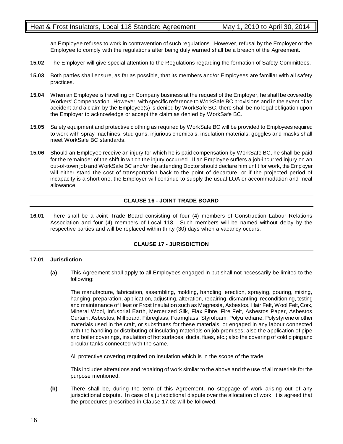# Heat & Frost Insulators, Local 118 Standard Agreement May 1, 2010 to April 30, 2014

an Employee refuses to work in contravention of such regulations. However, refusal by the Employer or the Employee to comply with the regulations after being duly warned shall be a breach of the Agreement.

- **15.02** The Employer will give special attention to the Regulations regarding the formation of Safety Committees.
- **15.03** Both parties shall ensure, as far as possible, that its members and/or Employees are familiar with all safety practices.
- **15.04** When an Employee is travelling on Company business at the request of the Employer, he shall be covered by Workers' Compensation. However, with specific reference to WorkSafe BC provisions and in the event of an accident and a claim by the Employee(s) is denied by WorkSafe BC, there shall be no legal obligation upon the Employer to acknowledge or accept the claim as denied by WorkSafe BC.
- **15.05** Safety equipment and protective clothing as required by WorkSafe BC will be provided to Employees required to work with spray machines, stud guns, injurious chemicals, insulation materials; goggles and masks shall meet WorkSafe BC standards.
- **15.06** Should an Employee receive an injury for which he is paid compensation by WorkSafe BC, he shall be paid for the remainder of the shift in which the injury occurred. If an Employee suffers a job-incurred injury on an out-of-town job and WorkSafe BC and/or the attending Doctor should declare him unfit for work, the Employer will either stand the cost of transportation back to the point of departure, or if the projected period of incapacity is a short one, the Employer will continue to supply the usual LOA or accommodation and meal allowance.

# **CLAUSE 16 - JOINT TRADE BOARD**

**16.01** There shall be a Joint Trade Board consisting of four (4) members of Construction Labour Relations Association and four (4) members of Local 118. Such members will be named without delay by the respective parties and will be replaced within thirty (30) days when a vacancy occurs.

# **CLAUSE 17 - JURISDICTION**

# **17.01 Jurisdiction**

**(a)** This Agreement shall apply to all Employees engaged in but shall not necessarily be limited to the following:

The manufacture, fabrication, assembling, molding, handling, erection, spraying, pouring, mixing, hanging, preparation, application, adjusting, alteration, repairing, dismantling, reconditioning, testing and maintenance of Heat or Frost Insulation such as Magnesia, Asbestos, Hair Felt, Wool Felt, Cork, Mineral Wool, Infusorial Earth, Mercerized Silk, Flax Fibre, Fire Felt, Asbestos Paper, Asbestos Curtain, Asbestos, Millboard, Fibreglass, Foamglass, Styrofoam, Polyurethane, Polystyrene or other materials used in the craft, or substitutes for these materials, or engaged in any labour connected with the handling or distributing of insulating materials on job premises; also the application of pipe and boiler coverings, insulation of hot surfaces, ducts, flues, etc.; also the covering of cold piping and circular tanks connected with the same.

All protective covering required on insulation which is in the scope of the trade.

This includes alterations and repairing of work similar to the above and the use of all materials for the purpose mentioned.

**(b)** There shall be, during the term of this Agreement, no stoppage of work arising out of any jurisdictional dispute. In case of a jurisdictional dispute over the allocation of work, it is agreed that the procedures prescribed in Clause 17.02 will be followed.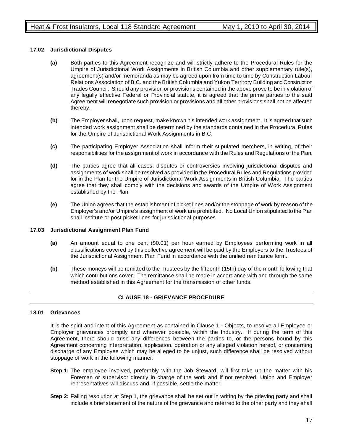# **17.02 Jurisdictional Disputes**

- **(a)** Both parties to this Agreement recognize and will strictly adhere to the Procedural Rules for the Umpire of Jurisdictional Work Assignments in British Columbia and other supplementary rule(s), agreement(s) and/or memoranda as may be agreed upon from time to time by Construction Labour Relations Association of B.C. and the British Columbia and Yukon Territory Building and Construction Trades Council. Should any provision or provisions contained in the above prove to be in violation of any legally effective Federal or Provincial statute, it is agreed that the prime parties to the said Agreement will renegotiate such provision or provisions and all other provisions shall not be affected thereby.
- **(b)** The Employer shall, upon request, make known his intended work assignment. It is agreed that such intended work assignment shall be determined by the standards contained in the Procedural Rules for the Umpire of Jurisdictional Work Assignments in B.C.
- **(c)** The participating Employer Association shall inform their stipulated members, in writing, of their responsibilities for the assignment of work in accordance with the Rules and Regulations of the Plan.
- **(d)** The parties agree that all cases, disputes or controversies involving jurisdictional disputes and assignments of work shall be resolved as provided in the Procedural Rules and Regulations provided for in the Plan for the Umpire of Jurisdictional Work Assignments in British Columbia. The parties agree that they shall comply with the decisions and awards of the Umpire of Work Assignment established by the Plan.
- **(e)** The Union agrees that the establishment of picket lines and/or the stoppage of work by reason of the Employer's and/or Umpire's assignment of work are prohibited. No Local Union stipulated to the Plan shall institute or post picket lines for jurisdictional purposes.

# **17.03 Jurisdictional Assignment Plan Fund**

- **(a)** An amount equal to one cent (\$0.01) per hour earned by Employees performing work in all classifications covered by this collective agreement will be paid by the Employers to the Trustees of the Jurisdictional Assignment Plan Fund in accordance with the unified remittance form.
- **(b)** These moneys will be remitted to the Trustees by the fifteenth (15th) day of the month following that which contributions cover. The remittance shall be made in accordance with and through the same method established in this Agreement for the transmission of other funds.

# **CLAUSE 18 - GRIEVANCE PROCEDURE**

# **18.01 Grievances**

It is the spirit and intent of this Agreement as contained in Clause 1 - Objects, to resolve all Employee or Employer grievances promptly and wherever possible, within the Industry. If during the term of this Agreement, there should arise any differences between the parties to, or the persons bound by this Agreement concerning interpretation, application, operation or any alleged violation hereof, or concerning discharge of any Employee which may be alleged to be unjust, such difference shall be resolved without stoppage of work in the following manner:

- **Step 1:** The employee involved, preferably with the Job Steward, will first take up the matter with his Foreman or supervisor directly in charge of the work and if not resolved, Union and Employer representatives will discuss and, if possible, settle the matter.
- **Step 2:** Failing resolution at Step 1, the grievance shall be set out in writing by the grieving party and shall include a brief statement of the nature of the grievance and referred to the other party and they shall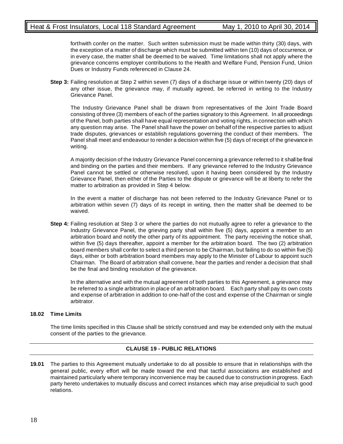forthwith confer on the matter. Such written submission must be made within thirty (30) days, with the exception of a matter of discharge which must be submitted within ten (10) days of occurrence, or in every case, the matter shall be deemed to be waived. Time limitations shall not apply where the grievance concerns employer contributions to the Health and Welfare Fund, Pension Fund, Union Dues or Industry Funds referenced in Clause 24.

**Step 3:** Failing resolution at Step 2 within seven (7) days of a discharge issue or within twenty (20) days of any other issue, the grievance may, if mutually agreed, be referred in writing to the Industry Grievance Panel.

The Industry Grievance Panel shall be drawn from representatives of the Joint Trade Board consisting of three (3) members of each of the parties signatory to this Agreement. In all proceedings of the Panel, both parties shall have equal representation and voting rights, in connection with which any question may arise. The Panel shall have the power on behalf of the respective parties to adjust trade disputes, grievances or establish regulations governing the conduct of their members. The Panel shall meet and endeavour to render a decision within five (5) days of receipt of the grievance in writing.

A majority decision of the Industry Grievance Panel concerning a grievance referred to it shall be final and binding on the parties and their members. If any grievance referred to the Industry Grievance Panel cannot be settled or otherwise resolved, upon it having been considered by the Industry Grievance Panel, then either of the Parties to the dispute or grievance will be at liberty to refer the matter to arbitration as provided in Step 4 below.

In the event a matter of discharge has not been referred to the Industry Grievance Panel or to arbitration within seven (7) days of its receipt in writing, then the matter shall be deemed to be waived.

**Step 4:** Failing resolution at Step 3 or where the parties do not mutually agree to refer a grievance to the Industry Grievance Panel, the grieving party shall within five (5) days, appoint a member to an arbitration board and notify the other party of its appointment. The party receiving the notice shall, within five (5) days thereafter, appoint a member for the arbitration board. The two (2) arbitration board members shall confer to select a third person to be Chairman, but failing to do so within five (5) days, either or both arbitration board members may apply to the Minister of Labour to appoint such Chairman. The Board of arbitration shall convene, hear the parties and render a decision that shall be the final and binding resolution of the grievance.

In the alternative and with the mutual agreement of both parties to this Agreement, a grievance may be referred to a single arbitration in place of an arbitration board. Each party shall pay its own costs and expense of arbitration in addition to one-half of the cost and expense of the Chairman or single arbitrator.

# **18.02 Time Limits**

The time limits specified in this Clause shall be strictly construed and may be extended only with the mutual consent of the parties to the grievance.

# **CLAUSE 19 - PUBLIC RELATIONS**

**19.01** The parties to this Agreement mutually undertake to do all possible to ensure that in relationships with the general public, every effort will be made toward the end that tactful associations are established and maintained particularly where temporary inconvenience may be caused due to construction in progress. Each party hereto undertakes to mutually discuss and correct instances which may arise prejudicial to such good relations.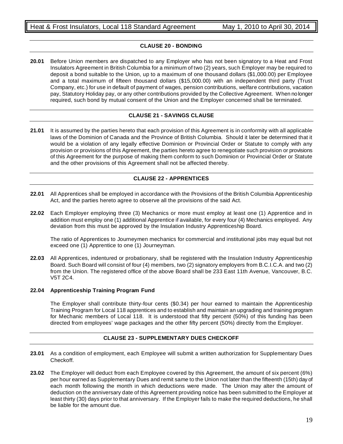# **CLAUSE 20 - BONDING**

**20.01** Before Union members are dispatched to any Employer who has not been signatory to a Heat and Frost Insulators Agreement in British Columbia for a minimum of two (2) years, such Employer may be required to deposit a bond suitable to the Union, up to a maximum of one thousand dollars (\$1,000.00) per Employee and a total maximum of fifteen thousand dollars (\$15,000.00) with an independent third party (Trust Company, etc.) for use in default of payment of wages, pension contributions, welfare contributions, vacation pay, Statutory Holiday pay, or any other contributions provided by the Collective Agreement. When no longer required, such bond by mutual consent of the Union and the Employer concerned shall be terminated.

# **CLAUSE 21 - SAVINGS CLAUSE**

**21.01** It is assumed by the parties hereto that each provision of this Agreement is in conformity with all applicable laws of the Dominion of Canada and the Province of British Columbia. Should it later be determined that it would be a violation of any legally effective Dominion or Provincial Order or Statute to comply with any provision or provisions of this Agreement, the parties hereto agree to renegotiate such provision or provisions of this Agreement for the purpose of making them conform to such Dominion or Provincial Order or Statute and the other provisions of this Agreement shall not be affected thereby.

# **CLAUSE 22 - APPRENTICES**

- **22.01** All Apprentices shall be employed in accordance with the Provisions of the British Columbia Apprenticeship Act, and the parties hereto agree to observe all the provisions of the said Act.
- **22.02** Each Employer employing three (3) Mechanics or more must employ at least one (1) Apprentice and in addition must employ one (1) additional Apprentice if available, for every four (4) Mechanics employed. Any deviation from this must be approved by the Insulation Industry Apprenticeship Board.

The ratio of Apprentices to Journeymen mechanics for commercial and institutional jobs may equal but not exceed one (1) Apprentice to one (1) Journeyman.

**22.03** All Apprentices, indentured or probationary, shall be registered with the Insulation Industry Apprenticeship Board. Such Board will consist of four (4) members, two (2) signatory employers from B.C.I.C.A. and two (2) from the Union. The registered office of the above Board shall be 233 East 11th Avenue, Vancouver, B.C. V5T 2C4.

# **22.04 Apprenticeship Training Program Fund**

The Employer shall contribute thirty-four cents (\$0.34) per hour earned to maintain the Apprenticeship Training Program for Local 118 apprentices and to establish and maintain an upgrading and training program for Mechanic members of Local 118. It is understood that fifty percent (50%) of this funding has been directed from employees' wage packages and the other fifty percent (50%) directly from the Employer.

# **CLAUSE 23 - SUPPLEMENTARY DUES CHECKOFF**

- **23.01** As a condition of employment, each Employee will submit a written authorization for Supplementary Dues Checkoff.
- **23.02** The Employer will deduct from each Employee covered by this Agreement, the amount of six percent (6%) per hour earned as Supplementary Dues and remit same to the Union not later than the fifteenth (15th) day of each month following the month in which deductions were made. The Union may alter the amount of deduction on the anniversary date of this Agreement providing notice has been submitted to the Employer at least thirty (30) days prior to that anniversary. If the Employer fails to make the required deductions, he shall be liable for the amount due.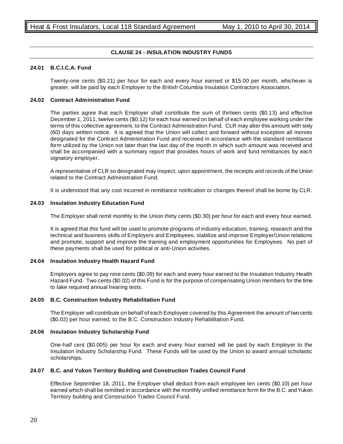# **CLAUSE 24 - INSULATION INDUSTRY FUNDS**

# **24.01 B.C.I.C.A. Fund**

Twenty-one cents (\$0.21) per hour for each and every hour earned or \$15.00 per month, whichever is greater, will be paid by each Employer to the British Columbia Insulation Contractors Association.

# **24.02 Contract Administration Fund**

The parties agree that each Employer shall contribute the sum of thirteen cents (\$0.13) and effective December 1, 2011, twelve cents (\$0.12) for each hour earned on behalf of each employee working under the terms of this collective agreement, to the Contract Administration Fund. CLR may alter this amount with sixty (60) days written notice. It is agreed that the Union will collect and forward without exception all monies designated for the Contract Administration Fund and received in accordance with the standard remittance form utilized by the Union not later than the last day of the month in which such amount was received and shall be accompanied with a summary report that provides hours of work and fund remittances by each signatory employer.

A representative of CLR so designated may inspect, upon appointment, the receipts and records of the Union related to the Contract Administration Fund.

It is understood that any cost incurred in remittance notification or changes thereof shall be borne by CLR.

# **24.03 Insulation Industry Education Fund**

The Employer shall remit monthly to the Union thirty cents (\$0.30) per hour for each and every hour earned.

It is agreed that this fund will be used to promote programs of industry education, training, research and the technical and business skills of Employers and Employees, stabilize and improve Employer/Union relations and promote, support and improve the training and employment opportunities for Employees. No part of these payments shall be used for political or anti-Union activities.

# **24.04 Insulation Industry Health Hazard Fund**

Employers agree to pay nine cents (\$0.09) for each and every hour earned to the Insulation Industry Health Hazard Fund. Two cents (\$0.02) of this Fund is for the purpose of compensating Union members for the time to take required annual hearing tests.

# **24.05 B.C. Construction Industry Rehabilitation Fund**

The Employer will contribute on behalf of each Employee covered by this Agreement the amount of two cents (\$0.02) per hour earned, to the B.C. Construction Industry Rehabilitation Fund.

# **24.06 Insulation Industry Scholarship Fund**

One-half cent (\$0.005) per hour for each and every hour earned will be paid by each Employer to the Insulation Industry Scholarship Fund. These Funds will be used by the Union to award annual scholastic scholarships.

# **24.07 B.C. and Yukon Territory Building and Construction Trades Council Fund**

Effective September 18, 2011, the Employer shall deduct from each employee ten cents (\$0.10) per hour earned which shall be remitted in accordance with the monthly unified remittance form for the B.C. and Yukon Territory building and Construction Trades Council Fund.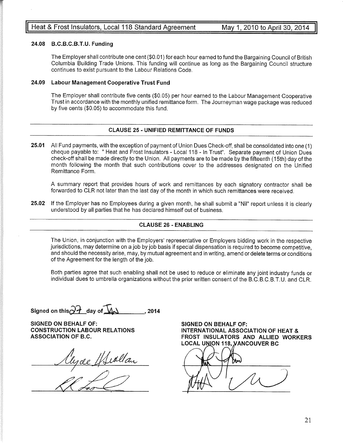# 24.08 B.C.B.C.B.T.U. Funding

f

The Employer shall contribute one cent (\$0.01) for each hour earned to fund the Bargaining Council of British Columbia Building Trade Unions. This funding will continue as long as the Bargaining Council structurecontinues to exist pursuant to the Labour Relations Code.

# 24.09 Labour Management Gooperative Trust Fund

The Employer shall contribute five cents (\$0.05) per hour earned to the Labour Management Cooperative Trust in accordance with the monthly unified remittance form. The Journeyman wage package was reducedby five cents (\$0.05) to accommodate this fund.

# CLAUSE 25. UNIFIED REMITTANCE OF FUNDS

25.01 All Fund payments, with the exceptíon of payment of Union Dues Check-off, shall be consolidated into one (1) cheque payable to: " Heat and Frost lnsulators - Local 1 18 - ln Trust". Separate payment of Union Duescheck-off shall be made directly to the Union. All payments are to be made by the fifteenth (15th) day of th month following the month that such contributions cover to the addresses designated on the UnifiedRemittance Form.

A summary report that provides hours of work and remittances by each signatory contractor shall beforwarded to CLR not later than the last day of the month in which such remittances were received.

25.02 If the Employer has no Employees during a given month, he shall submit a "Nil" report unless it is clearly understood by all parties that he has declared himself out of business.

# CLAUSE 26 . ENABLING

The Union, in conjunction with the Employers' representative or Employers bidding work in the respective jurisdictions, may determine on a job by job basis if special dispensation is required to become competitive, and should the necessity arise, may, by mutual agreement and in writing, amend or delete terms or conditionsof the Agreement for the length of the job.

Both parties agree that such enabling shall not be used to reduce or eliminate any joint industry funds orindividual dues to umbrella organizations without the prior written consent of the B.C.B.C.B.T.U. and CLR.

Signed on this  $\widehat{O}$  day of  $\widehat{M}$   $\longrightarrow$  . 2014

SIGNED ON BEHALF OF: CONSTRUCTION LABOUR RELATIONSASSOCIATION OF B.C.

<u>Vyce Huallan</u>

SIGNED ON BEHALF OF: INTERNATIONAL ASSOCIATION OF HEAT & FROST INSULATORS AND ALLIED WORKERSLOCAL UNION 118, <mark>VANCOUVER BC</mark>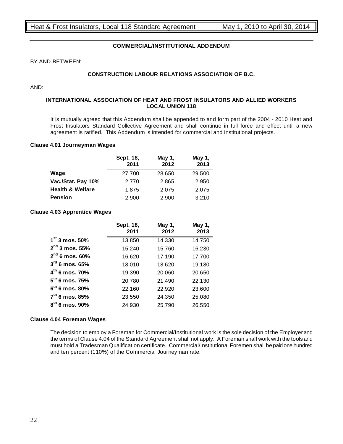# **COMMERCIAL/INSTITUTIONAL ADDENDUM**

# BY AND BETWEEN:

# **CONSTRUCTION LABOUR RELATIONS ASSOCIATION OF B.C.**

AND:

# **INTERNATIONAL ASSOCIATION OF HEAT AND FROST INSULATORS AND ALLIED WORKERS LOCAL UNION 118**

It is mutually agreed that this Addendum shall be appended to and form part of the 2004 - 2010 Heat and Frost Insulators Standard Collective Agreement and shall continue in full force and effect until a new agreement is ratified. This Addendum is intended for commercial and institutional projects.

#### **Clause 4.01 Journeyman Wages**

|                             | Sept. 18,<br>2011 | May 1,<br>2012 | May 1,<br>2013 |
|-----------------------------|-------------------|----------------|----------------|
| Wage                        | 27.700            | 28.650         | 29.500         |
| Vac./Stat. Pay 10%          | 2.770             | 2.865          | 2.950          |
| <b>Health &amp; Welfare</b> | 1.875             | 2.075          | 2.075          |
| Pension                     | 2.900             | 2.900          | 3.210          |

#### **Clause 4.03 Apprentice Wages**

|                            | Sept. 18,<br>2011 | May 1,<br>2012 | May 1,<br>2013 |
|----------------------------|-------------------|----------------|----------------|
| $1st$ 3 mos. 50%           | 13.850            | 14.330         | 14.750         |
| $2^{nd}$ 3 mos. 55%        | 15.240            | 15.760         | 16.230         |
| $2^{nd}$ 6 mos. 60%        | 16.620            | 17.190         | 17.700         |
| $3^{\text{rd}}$ 6 mos. 65% | 18.010            | 18.620         | 19.180         |
| $4^{\text{m}}$ 6 mos. 70%  | 19.390            | 20.060         | 20.650         |
| $5th$ 6 mos. 75%           | 20.780            | 21.490         | 22.130         |
| $6^{\rm m}$ 6 mos. 80%     | 22.160            | 22.920         | 23.600         |
| $7th$ 6 mos. 85%           | 23.550            | 24.350         | 25.080         |
| $8th$ 6 mos. 90%           | 24.930            | 25.790         | 26.550         |

#### **Clause 4.04 Foreman Wages**

The decision to employ a Foreman for Commercial/Institutional work is the sole decision of the Employer and the terms of Clause 4.04 of the Standard Agreement shall not apply. A Foreman shall work with the tools and must hold a Tradesman Qualification certificate. Commercial/Institutional Foremen shall be paid one hundred and ten percent (110%) of the Commercial Journeyman rate.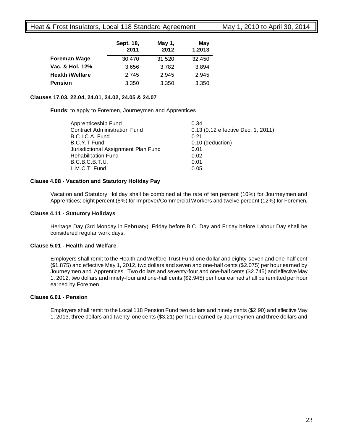# Heat & Frost Insulators, Local 118 Standard Agreement May 1, 2010 to April 30, 2014

|                        | Sept. 18,<br>2011 | May 1,<br>2012 | May<br>1,2013 |
|------------------------|-------------------|----------------|---------------|
| <b>Foreman Wage</b>    | 30.470            | 31.520         | 32.450        |
| Vac. & Hol. 12%        | 3.656             | 3.782          | 3.894         |
| <b>Health /Welfare</b> | 2.745             | 2.945          | 2.945         |
| <b>Pension</b>         | 3.350             | 3.350          | 3.350         |

# **Clauses 17.03, 22.04, 24.01, 24.02, 24.05 & 24.07**

**Funds**: to apply to Foremen, Journeymen and Apprentices

| Apprenticeship Fund                 | 0.34                               |
|-------------------------------------|------------------------------------|
| <b>Contract Administration Fund</b> | 0.13 (0.12 effective Dec. 1, 2011) |
| B.C.I.C.A. Fund                     | 0.21                               |
| B.C.Y.T Fund                        | 0.10 (deduction)                   |
| Jurisdictional Assignment Plan Fund | 0.01                               |
| <b>Rehabilitation Fund</b>          | 0.02                               |
| B.C.B.C.B.T.U.                      | 0.01                               |
| L.M.C.T. Fund                       | 0.05                               |
|                                     |                                    |

# **Clause 4.08 - Vacation and Statutory Holiday Pay**

Vacation and Statutory Holiday shall be combined at the rate of ten percent (10%) for Journeymen and Apprentices; eight percent (8%) for Improver/Commercial Workers and twelve percent (12%) for Foremen.

# **Clause 4.11 - Statutory Holidays**

Heritage Day (3rd Monday in February), Friday before B.C. Day and Friday before Labour Day shall be considered regular work days.

# **Clause 5.01 - Health and Welfare**

Employers shall remit to the Health and Welfare Trust Fund one dollar and eighty-seven and one-half cent (\$1.875) and effective May 1, 2012, two dollars and seven and one-half cents (\$2.075) per hour earned by Journeymen and Apprentices. Two dollars and seventy-four and one-half cents (\$2.745) and effective May 1, 2012, two dollars and ninety-four and one-half cents (\$2.945) per hour earned shall be remitted per hour earned by Foremen.

# **Clause 6.01 - Pension**

Employers shall remit to the Local 118 Pension Fund two dollars and ninety cents (\$2.90) and effective May 1, 2013, three dollars and twenty-one cents (\$3.21) per hour earned by Journeymen and three dollars and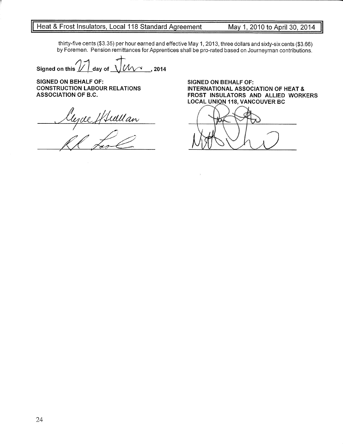<u>rd Agreement \_\_\_\_\_\_ May 1, 2010 to April 30, 2014</u>

thirty-five cents (\$3.35) per hour earned and effective May 1, 2013, three dollars and sixty-six cents (93.66)by Foremen. Pension remittances for Apprentices shall be pro-rated based on Journeyman contributions

Signed on this  $1/1$  day of  $\sim$  2014

SIGNED ON BEHALF OF: CONSTRUCTION LABOUR RELATIONSASSOCIATION OF B.G.

 $\frac{a_{\bm{n}}}{a_{\bm{n}}}$ 

SIGNED ON BEHALF OF: INTERNATIONAL ASSOCIATION OF HEAT & FROST INSULATORS AND ALLIED WORKERSLOCAL UNION 118, VANCOUVER BC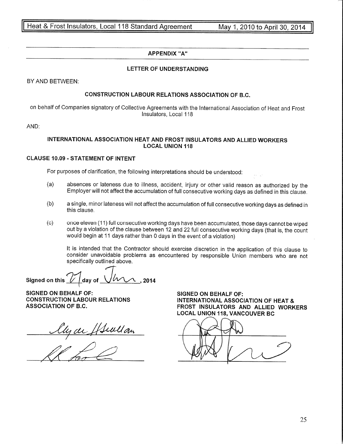Heat & Frost Insulators, Local 118 Standard Agreement \_\_\_\_\_\_\_M<br>————————————————————

May 1, 2010 to April 30, 2014

# APPENDIX "A"

# LETTER OF UNDERSTANDING

BY AND BETWEEN

# CONSTRUCTION LABOUR RELATIONS ASSOCIATION OF B.C.

on behalf of Companies signatory of Collective Agreements with the lnternational Association of Heat and Frostlnsulators, Local 118

AND

# INTERNATIONAL ASSOCIATION HEAT AND FROST INSULATORS AND ALLIED WORKERSLOCAL UNION 1I8

# CLAUSE 10.09. STATEMENT OF INTENT

For purposes of clarification, the following interpretations should be understood:

- (a) absences or lateness due to illness, accident, injury or other valid reason as authorized by theEmployer will not affect the accumulation of full consecutive working days as defined in this clause.
- (b) a single, minor lateness will not affect the accumulation of full consecutive working days as defined inthis clause.
- (c) once eleven (11) full consecutive working days have been accumulated, those days cannot bewiped out by a violation of the clause between 12 and 22 full consecutive working days (that is, the countwould begin at 11 days rather than 0 days in the event of a violation)

It is intended that the Contractor should exercise discretion in the application of this clause to consider unavoidable problems as encountered by responsible Union members who are notspecifically outlíned above.

Signed on this  $\sqrt{2}$  day of  $\sqrt{2}$  . 2014

SIGNED ON BEHALF OF: CONSTRUCTION LABOUR RELATIONSASSOCIATION OF B.C.

<u>an</u>

SIGNED ON BEHALF OF: INTERNATIONAL ASSOCIATION OF HEAT & FROST INSULATORS AND ALLIED WORKERSLOCAL UNION 118, VANCOUVER BC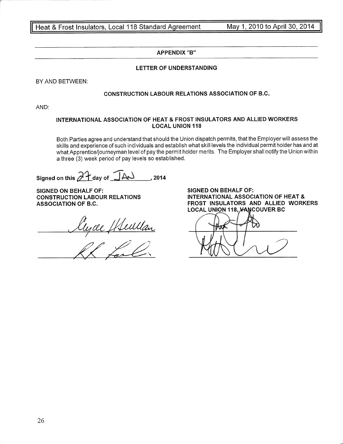<u>Heat & Frost Insulators, Local 118 Standard</u>

May 1, 2010 to April 30, 2014

# APPENDIX "B''

# LETTER OF UNDERSTANDING

BY AND BETWEEN:

# CONSTRUCTION LABOUR RELATIONS ASSOCIATION OF B.G.

AND:

# INTERNATIONAL ASSOCIATION OF HEAT & FROST INSULATORS AND ALLIED WORKERS LOCAL UNION 118

Both Parties agree and understand that should the Union dispatch permits, that the Employer will assess the skills and experience of such individuals and establish what skill levels the individual permit holder has and at what Apprentice/journeyman level of pay the permit holder merits. The Employer shall notify the Union withina three (3) week period of pay levels so established.

signed on this 2A o^, o, liÀJ $\sim$  2014

SIGNED ON BEHALF OF: CONSTRUCTION LABOUR RELATIONSASSOCIATION OF B.C.

lyce Hewllan

SIGNED ON BEHALF OF: INTERNAT¡ONAL ASSOCIATION OF HEAT & FROST INSULATORS AND ALLIED WORKERSLOCAL UNION 118<mark>, VAN</mark>COUVER BC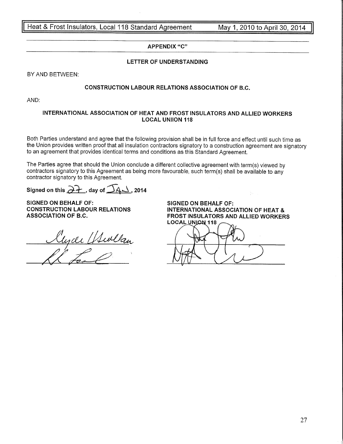Heat & Frost Insulators, Local 118 Standard

<u>d Agreement \_\_\_\_\_\_ May 1, 2010 to April 30, 2014</u>

# APPENDIX "C"

# LETTER OF UNDERSTANDING

BY AND BETWEEN:

# CONSTRUCTION LABOUR RELATIONS ASSOCIATION OF B.C

AND:

# INTERNATIONAL ASSOGIATION OF HEAT AND FROST INSULATORS AND ALLIED WORKERSLOCAL UNIION 118

Both Parties understand and agree that the following provision shall be in full force and effect until such time as the Union provides written proof that all insulation contractors signatory to a construction agreement are signatoryto an agreement that provides identical terms and conditions as this Standard Agreement.

The Parties agree that should the Union conclude a different collective agreement with term(s) viewed by contractors signatory to this Agreement as being more favourable, such term(s) shall be available to anycontractor signatory to this Agreement.

Signed on this  $\overrightarrow{d+}$  , day of  $\overrightarrow{4}$ , 2014

SIGNED ON BEHALF OF: CONSTRUCTION LABOUR RELATIONSASSOCIATION OF B.C.

<u>Rugde Hullan</u>

SIGNED ON BEHALF OF: INTERNATIONAL ASSOGIATION OF HEAT & FROST INSULATORS AND ALLIED WORKERSLOCAL UNION 118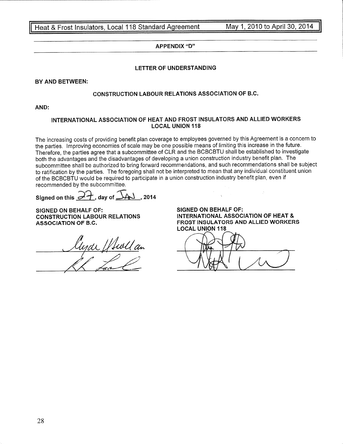<u>Heat & Frost Insulators, Local 118 Standard Agreement Manuel M</u>

May 1, 2010 to April 30, 2014

# APPENDIX "D''

# LETTER OF UNDERSTANDING

BY AND BETWEEN:

# CONSTRUCTION LABOUR RELATIONS ASSOCIATION OF B.C.

AND

# INTERNATIONAL ASSOCIATION OF HEAT AND FROST ¡NSULATORS AND ALLIED WORKERSLOCAL UNION I18

The increasing costs of providing benefit plan coverage to employees governed by this Agreement is a concern tothe parties. lmproving economies of scale may be one possible means of limiting this increase in the future. Therefore, the parties agree that a subcommittee of CLR and the BCBCBTU shall be established to investigateboth the advantages and the disadvantages of developing a union construction industry benefit plan. Thesubcommittee shall be authorized to bring forward recommendations, and such recommendations shall be subject to ratification by the parties. The foregoing shall not be interpreted to mean that any individual constituent union of the BCBCBTU would be required to participate in a union construction industry benefit plan, even if recommended by the subcommittee.

Signed on this  $\widehat{P}$ , day of  $\widehat{\Delta}$ AJ , 2014

SIGNED ON BEHALF OF: SIGNED ON BEHALF OF:

 $\underline{\mu}$ 

 CONSTRUCTION LABOUR RELATIONS INTERNATIONAL ASSOCIATION OF HEAT & ASSOCIATION OF B.C. FROST INSULATORS AND ALLIED WORKERS**LOCAL UNION 118**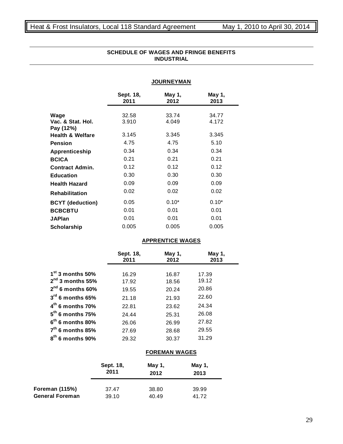|                                        |                   | <b>JOURNEYMAN</b>       |                |
|----------------------------------------|-------------------|-------------------------|----------------|
|                                        | Sept. 18,<br>2011 | May 1,<br>2012          | May 1,<br>2013 |
| Wage<br>Vac. & Stat. Hol.<br>Pay (12%) | 32.58<br>3.910    | 33.74<br>4.049          | 34.77<br>4.172 |
| <b>Health &amp; Welfare</b>            | 3.145             | 3.345                   | 3.345          |
| <b>Pension</b>                         | 4.75              | 4.75                    | 5.10           |
| Apprenticeship                         | 0.34              | 0.34                    | 0.34           |
| <b>BCICA</b>                           | 0.21              | 0.21                    | 0.21           |
| <b>Contract Admin.</b>                 | 0.12              | 0.12                    | 0.12           |
| <b>Education</b>                       | 0.30              | 0.30                    | 0.30           |
| <b>Health Hazard</b>                   | 0.09              | 0.09                    | 0.09           |
| <b>Rehabilitation</b>                  | 0.02              | 0.02                    | 0.02           |
| <b>BCYT</b> (deduction)                | 0.05              | $0.10*$                 | $0.10*$        |
| <b>BCBCBTU</b>                         | 0.01              | 0.01                    | 0.01           |
| <b>JAPlan</b>                          | 0.01              | 0.01                    | 0.01           |
| <b>Scholarship</b>                     | 0.005             | 0.005                   | 0.005          |
|                                        |                   | <b>APPRENTICE WAGES</b> |                |

# **SCHEDULE OF WAGES AND FRINGE BENEFITS INDUSTRIAL**

|                       | Sept. 18,<br>2011 | May 1,<br>2012 | May 1,<br>2013 |
|-----------------------|-------------------|----------------|----------------|
| $1st$ 3 months 50%    |                   |                |                |
|                       | 16.29             | 16.87          | 17.39          |
| $2nd$ 3 months 55%    | 17.92             | 18.56          | 19.12          |
| $2^{nd}$ 6 months 60% | 19.55             | 20.24          | 20.86          |
| $3rd$ 6 months 65%    | 21.18             | 21.93          | 22.60          |
| $4th$ 6 months 70%    | 22.81             | 23.62          | 24.34          |
| $5th$ 6 months 75%    | 24.44             | 25.31          | 26.08          |
| $6th$ 6 months 80%    | 26.06             | 26.99          | 27.82          |
| $7th$ 6 months 85%    | 27.69             | 28.68          | 29.55          |
| $8th$ 6 months 90%    | 29.32             | 30.37          | 31.29          |

# **FOREMAN WAGES**

|                        | Sept. 18, | May 1, | May 1, |
|------------------------|-----------|--------|--------|
|                        | 2011      | 2012   | 2013   |
| <b>Foreman (115%)</b>  | 37.47     | 38.80  | 39.99  |
| <b>General Foreman</b> | 39.10     | 40.49  | 41.72  |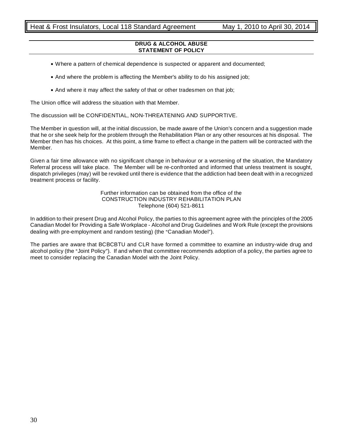#### **DRUG & ALCOHOL ABUSE STATEMENT OF POLICY**

- . Where a pattern of chemical dependence is suspected or apparent and documented;
- And where the problem is affecting the Member's ability to do his assigned job;
- And where it may affect the safety of that or other tradesmen on that job;

The Union office will address the situation with that Member.

The discussion will be CONFIDENTIAL, NON-THREATENING AND SUPPORTIVE.

The Member in question will, at the initial discussion, be made aware of the Union's concern and a suggestion made that he or she seek help for the problem through the Rehabilitation Plan or any other resources at his disposal. The Member then has his choices. At this point, a time frame to effect a change in the pattern will be contracted with the Member.

Given a fair time allowance with no significant change in behaviour or a worsening of the situation, the Mandatory Referral process will take place. The Member will be re-confronted and informed that unless treatment is sought, dispatch privileges (may) will be revoked until there is evidence that the addiction had been dealt with in a recognized treatment process or facility.

> Further information can be obtained from the office of the CONSTRUCTION INDUSTRY REHABILITATION PLAN Telephone (604) 521-8611

In addition to their present Drug and Alcohol Policy, the parties to this agreement agree with the principles of the 2005 Canadian Model for Providing a Safe Workplace - Alcohol and Drug Guidelines and Work Rule (except the provisions dealing with pre-employment and random testing) (the "Canadian Model").

The parties are aware that BCBCBTU and CLR have formed a committee to examine an industry-wide drug and alcohol policy (the "Joint Policy"). If and when that committee recommends adoption of a policy, the parties agree to meet to consider replacing the Canadian Model with the Joint Policy.